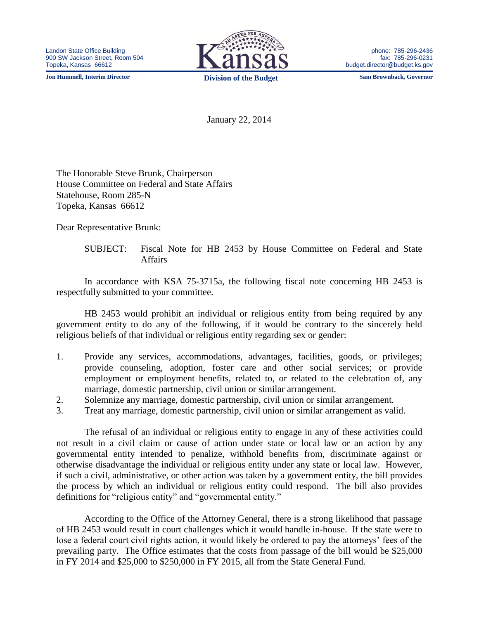**Jon Hummell, Interim Director Division of the Budget Sam Brownback, Governor**



phone: 785-296-2436 fax: 785-296-0231 budget.director@budget.ks.gov

January 22, 2014

The Honorable Steve Brunk, Chairperson House Committee on Federal and State Affairs Statehouse, Room 285-N Topeka, Kansas 66612

Dear Representative Brunk:

SUBJECT: Fiscal Note for HB 2453 by House Committee on Federal and State Affairs

In accordance with KSA 75-3715a, the following fiscal note concerning HB 2453 is respectfully submitted to your committee.

HB 2453 would prohibit an individual or religious entity from being required by any government entity to do any of the following, if it would be contrary to the sincerely held religious beliefs of that individual or religious entity regarding sex or gender:

- 1. Provide any services, accommodations, advantages, facilities, goods, or privileges; provide counseling, adoption, foster care and other social services; or provide employment or employment benefits, related to, or related to the celebration of, any marriage, domestic partnership, civil union or similar arrangement.
- 2. Solemnize any marriage, domestic partnership, civil union or similar arrangement.
- 3. Treat any marriage, domestic partnership, civil union or similar arrangement as valid.

The refusal of an individual or religious entity to engage in any of these activities could not result in a civil claim or cause of action under state or local law or an action by any governmental entity intended to penalize, withhold benefits from, discriminate against or otherwise disadvantage the individual or religious entity under any state or local law. However, if such a civil, administrative, or other action was taken by a government entity, the bill provides the process by which an individual or religious entity could respond. The bill also provides definitions for "religious entity" and "governmental entity."

According to the Office of the Attorney General, there is a strong likelihood that passage of HB 2453 would result in court challenges which it would handle in-house. If the state were to lose a federal court civil rights action, it would likely be ordered to pay the attorneys' fees of the prevailing party. The Office estimates that the costs from passage of the bill would be \$25,000 in FY 2014 and \$25,000 to \$250,000 in FY 2015, all from the State General Fund.